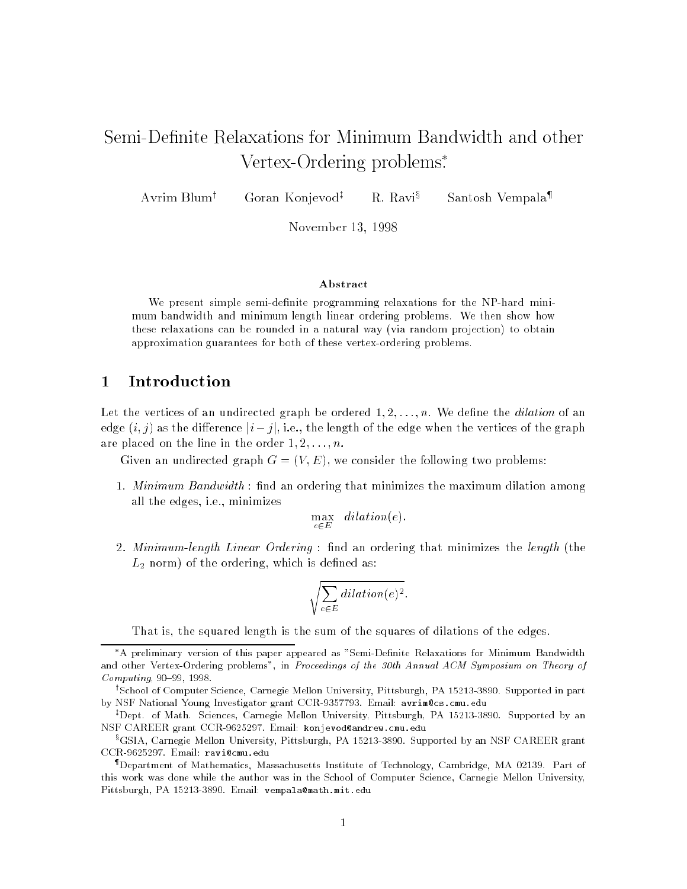# Vertex-Ordering problems .

Avrim Blum<sup>†</sup> Goran Konjevod<sup>‡</sup> R. Ravi<sup>§</sup> Santosh Vempala{

November 13, 1998

## Abstract

We present simple semi-denite programming relaxations for the NP-hard minimum bandwidth and minimum length linear ordering problems. We then show how these relaxations can be rounded in a natural way (via random projection) to obtain approximation guarantees for both of these vertex-ordering problems.

#### **Introduction**  $\mathbf 1$

Let the vertices of an undirected graph be ordered  $1, 2, \ldots, n$ . We define the *dilation* of an edge  $(i, j)$  as the difference  $|i - j|$ , i.e., the length of the edge when the vertices of the graph are placed on the line in the order  $1, 2, \ldots, n$ .

Given an undirected graph  $G = (V, E)$ , we consider the following two problems:

1. Minimum Bandwidth : find an ordering that minimizes the maximum dilation among all the edges, i.e., minimizes

$$
\max_{e \in E} \quad dilation(e).
$$

2. *Minimum-length Linear Ordering*: find an ordering that minimizes the *length* (the  $L_{\rm 2}$  norm) of the ordering, which is defined as:

$$
\sqrt{\sum_{e \in E} dilation(e)^2}.
$$

That is, the squared length is the sum of the squares of dilations of the edges.

A preliminary version of this paper appeared as "Semi-Denite Relaxations for Minimum Bandwidth and other Vertex-Ordering problems", in Proceedings of the 30th Annual ACM Symposium on Theory of  $Computing, 90-99, 1998.$ 

<sup>y</sup> School of Computer Science, Carnegie Mellon University, Pittsburgh, PA 15213-3890. Supported in part by NSF National Young Investigator grant CCR-9357793. Email: avrim@cs.cmu.edu

<sup>z</sup> Dept. of Math. Sciences, Carnegie Mellon University, Pittsburgh, PA 15213-3890. Supported by an NSF CAREER grant CCR-9625297. Email: konjevod@andrew.cmu.edu

<sup>x</sup> GSIA, Carnegie Mellon University, Pittsburgh, PA 15213-3890. Supported by an NSF CAREER grant CCR-9625297. Email: ravi@cmu.edu

<sup>{</sup> Department of Mathematics, Massachusetts Institute of Technology, Cambridge, MA 02139. Part of this work was done while the author was in the School of Computer Science, Carnegie Mellon University, Pittsburgh, PA 15213-3890. Email: vempala@math.mit.edu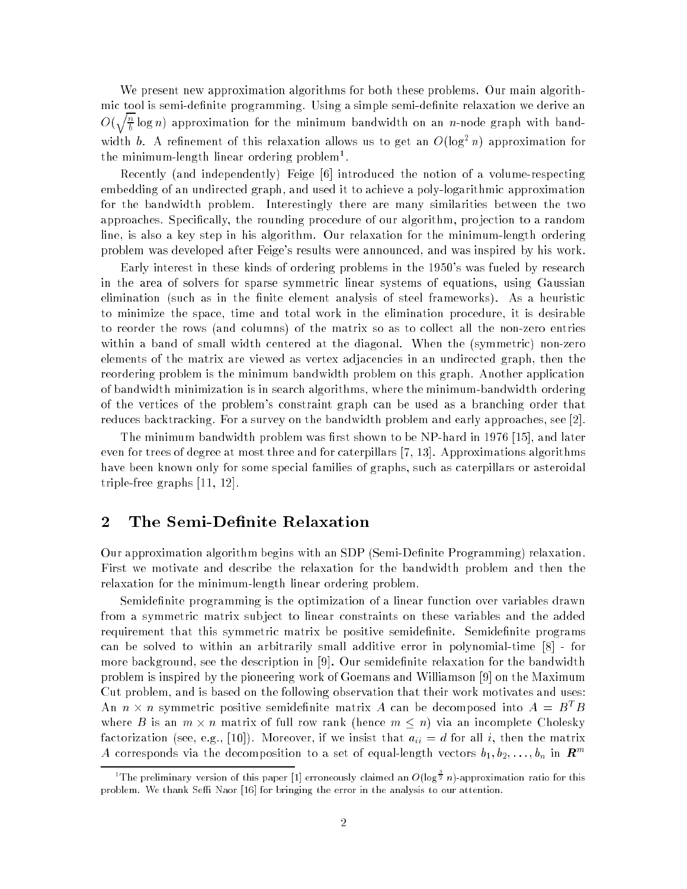We present new approximation algorithms for both these problems. Our main algorithmic tool is semi-definite programming. Using a simple semi-definite relaxation we derive an  $O(\sqrt{\frac{n}{l}})$ **Contract Contract Contract**  $\frac{\pi}{b}$  log  $n$ ) approximation for the minimum bandwidth on an  $n$ -node graph with bandwidth b. A refinement of this relaxation allows us to get an  $O(\log^2 n)$  approximation for the minimum-length linear ordering problem<sup>1</sup>.

Recently (and independently) Feige [6] introduced the notion of a volume-respecting embedding of an undirected graph, and used it to achieve a poly-logarithmic approximation for the bandwidth problem. Interestingly there are many similarities between the two approaches. Specifically, the rounding procedure of our algorithm, projection to a random line, is also a key step in his algorithm. Our relaxation for the minimum-length ordering problem was developed after Feige's results were announced, and was inspired by his work.

Early interest in these kinds of ordering problems in the 1950's was fueled by research in the area of solvers for sparse symmetric linear systems of equations, using Gaussian elimination (such as in the finite element analysis of steel frameworks). As a heuristic to minimize the space, time and total work in the elimination procedure, it is desirable to reorder the rows (and columns) of the matrix so as to collect all the non-zero entries within a band of small width centered at the diagonal. When the (symmetric) non-zero elements of the matrix are viewed as vertex adjacencies in an undirected graph, then the reordering problem is the minimum bandwidth problem on this graph. Another application of bandwidth minimization is in search algorithms, where the minimum-bandwidth ordering of the vertices of the problem's constraint graph can be used as a branching order that reduces backtracking. For a survey on the bandwidth problem and early approaches, see [2].

The minimum bandwidth problem was first shown to be NP-hard in 1976 [15], and later even for trees of degree at most three and for caterpillars [7, 13]. Approximations algorithms have been known only for some special families of graphs, such as caterpillars or asteroidal triple-free graphs [11, 12].

## 2 The Semi-Definite Relaxation

Our approximation algorithm begins with an SDP (Semi-Denite Programming) relaxation. First we motivate and describe the relaxation for the bandwidth problem and then the relaxation for the minimum-length linear ordering problem.

Semidefinite programming is the optimization of a linear function over variables drawn from a symmetric matrix sub ject to linear constraints on these variables and the added requirement that this symmetric matrix be positive semidefinite. Semidefinite programs can be solved to within an arbitrarily small additive error in polynomial-time [8] - for more background, see the description in  $[9]$ . Our semidefinite relaxation for the bandwidth problem is inspired by the pioneering work of Goemans and Williamson [9] on the Maximum Cut problem, and is based on the following observation that their work motivates and uses: An  $n \times n$  symmetric positive semidefinite matrix A can be decomposed into  $A = B<sup>T</sup>B$ where B is an  $m \times n$  matrix of full row rank (hence  $m \leq n$ ) via an incomplete Cholesky factorization (see, e.g., [10]). Moreover, if we insist that  $a_{ii} = d$  for all i, then the matrix A corresponds via the decomposition to a set of equal-length vectors  $b_1, b_2, \ldots, b_n$  in  $\mathbb{R}^m$ 

The preliminary version of this paper [1] erroneously claimed an  $O(\log^{\frac{1}{2}} n)$ -approximation ratio for this problem. We thank Seffi Naor [16] for bringing the error in the analysis to our attention.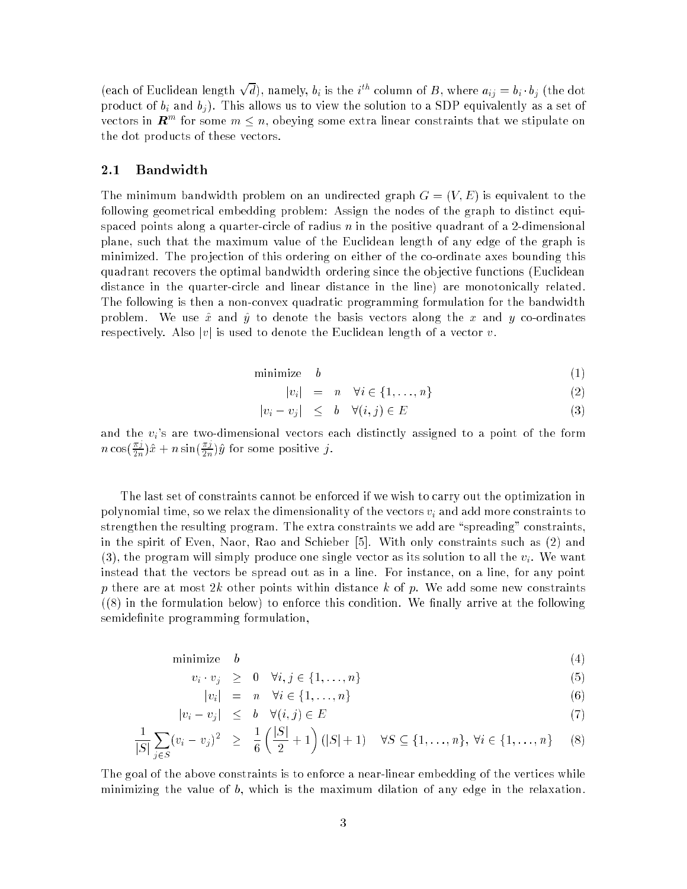(each of Euclidean length  $\sqrt{d}$ ), namely,  $b_i$  is the i<sup>th</sup> column of B, where  $a_{ij} = b_i \cdot b_j$  (the dot product of  $b_i$  and  $b_j$ ). This allows us to view the solution to a SDP equivalently as a set of vectors in  $\bm{R}^m$  for some  $m \leq n$ , obeying some extra linear constraints that we stipulate on the dot products of these vectors.

#### 2.1Bandwidth

The minimum bandwidth problem on an undirected graph  $G = (V, E)$  is equivalent to the following geometrical embedding problem: Assign the nodes of the graph to distinct equispaced points along a quarter-circle of radius n in the positive quadrant of a 2-dimensional plane, such that the maximum value of the Euclidean length of any edge of the graph is minimized. The projection of this ordering on either of the co-ordinate axes bounding this quadrant recovers the optimal bandwidth ordering since the ob jective functions (Euclidean distance in the quarter-circle and linear distance in the line) are monotonically related. The following is then a non-convex quadratic programming formulation for the bandwidth problem. We use  $\hat{x}$  and  $\hat{y}$  to denote the basis vectors along the x and y co-ordinates respectively. Also  $|v|$  is used to denote the Euclidean length of a vector v.

$$
minimize \t b \t\t(1)
$$

$$
|v_i| = n \quad \forall i \in \{1, \dots, n\}
$$
 (2)

$$
|v_i - v_j| \le b \quad \forall (i, j) \in E \tag{3}
$$

and the  $v_i$ 's are two-dimensional vectors each distinctly assigned to a point of the form  $n \cos(\frac{\pi j}{2n})\hat{x} + n \sin(\frac{\pi j}{2n})\hat{y}$  for some positive j.

The last set of constraints cannot be enforced if we wish to carry out the optimization in polynomial time, so we relax the dimensionality of the vectors  $v_i$  and add more constraints to strengthen the resulting program. The extra constraints we add are "spreading" constraints, in the spirit of Even, Naor, Rao and Schieber [5]. With only constraints such as (2) and (3), the program will simply produce one single vector as its solution to all the  $v_i$ . We want instead that the vectors be spread out as in a line. For instance, on a line, for any point p there are at most 2k other points within distance k of p. We add some new constraints  $(8)$  in the formulation below) to enforce this condition. We finally arrive at the following semidefinite programming formulation,

$$
minimize \t b \t(4)
$$

$$
v_i \cdot v_j \geq 0 \quad \forall i, j \in \{1, \dots, n\} \tag{5}
$$

$$
|v_i| = n \quad \forall i \in \{1, \dots, n\}
$$
\n
$$
(6)
$$

$$
|v_i - v_j| \le b \quad \forall (i, j) \in E \tag{7}
$$

$$
\frac{1}{|S|} \sum_{j \in S} (v_i - v_j)^2 \ge \frac{1}{6} \left( \frac{|S|}{2} + 1 \right) (|S| + 1) \quad \forall S \subseteq \{1, ..., n\}, \forall i \in \{1, ..., n\} \tag{8}
$$

The goal of the above constraints is to enforce a near-linear embedding of the vertices while minimizing the value of b, which is the maximum dilation of any edge in the relaxation.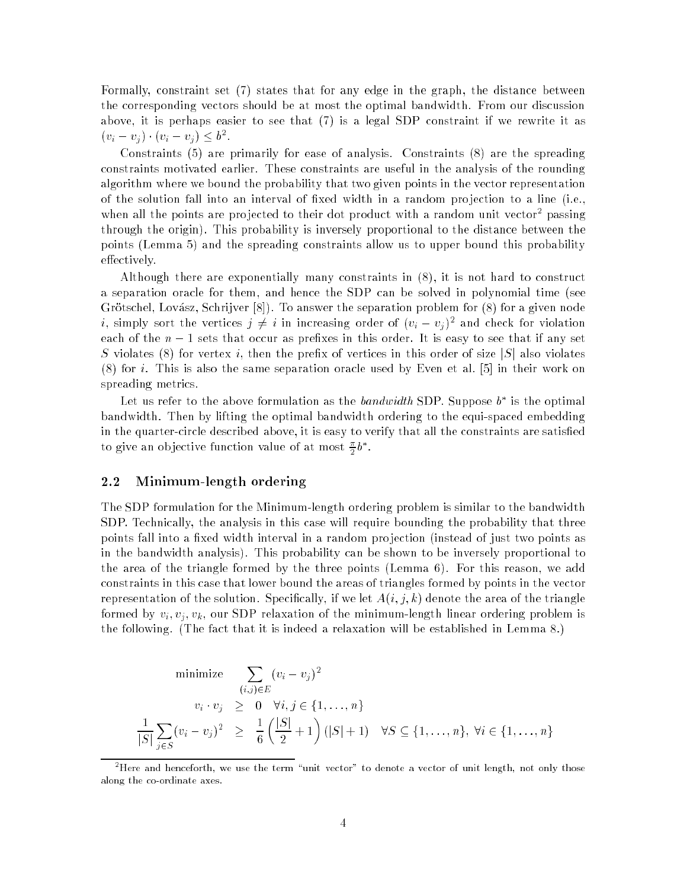Formally, constraint set (7) states that for any edge in the graph, the distance between the corresponding vectors should be at most the optimal bandwidth. From our discussion above, it is perhaps easier to see that (7) is a legal SDP constraint if we rewrite it as  $(v_i - v_j) \cdot (v_i - v_j) \leq b^2$ .

Constraints (5) are primarily for ease of analysis. Constraints (8) are the spreading constraints motivated earlier. These constraints are useful in the analysis of the rounding algorithm where we bound the probability that two given points in the vector representation of the solution fall into an interval of fixed width in a random projection to a line (i.e., when all the points are projected to their dot product with a random unit vector passing through the origin). This probability is inversely proportional to the distance between the points (Lemma 5) and the spreading constraints allow us to upper bound this probability effectively.

Although there are exponentially many constraints in (8), it is not hard to construct a separation oracle for them, and hence the SDP can be solved in polynomial time (see Grötschel, Lovász, Schrijver [8]). To answer the separation problem for (8) for a given node *i*, simply sort the vertices  $j \neq i$  in increasing order of  $(v_i - v_j)^2$  and check for violation each of the  $n-1$  sets that occur as prefixes in this order. It is easy to see that if any set S violates (8) for vertex *i*, then the prefix of vertices in this order of size  $|S|$  also violates (8) for i. This is also the same separation oracle used by Even et al. [5] in their work on spreading metrics.

Let us refer to the above formulation as the *bandwidth* SDP. Suppose  $b^*$  is the optimal bandwidth. Then by lifting the optimal bandwidth ordering to the equi-spaced embedding in the quarter-circle described above, it is easy to verify that all the constraints are satisfied to give an objective function value of at most  $\frac{\pi}{2}b^*$ .

#### 2.2Minimum-length ordering

The SDP formulation for the Minimum-length ordering problem is similar to the bandwidth SDP. Technically, the analysis in this case will require bounding the probability that three points fall into a fixed width interval in a random projection (instead of just two points as in the bandwidth analysis). This probability can be shown to be inversely proportional to the area of the triangle formed by the three points (Lemma 6). For this reason, we add constraints in this case that lower bound the areas of triangles formed by points in the vector representation of the solution. Specifically, if we let  $A(i, j, k)$  denote the area of the triangle formed by  $v_i, v_j, v_k$ , our SDP relaxation of the minimum-length linear ordering problem is the following. (The fact that it is indeed a relaxation will be established in Lemma 8.)

minimize 
$$
\sum_{(i,j)\in E} (v_i - v_j)^2
$$
  
\n $v_i \cdot v_j \ge 0 \quad \forall i, j \in \{1, ..., n\}$   
\n $\frac{1}{|S|} \sum_{j \in S} (v_i - v_j)^2 \ge \frac{1}{6} (\frac{|S|}{2} + 1) (|S| + 1) \quad \forall S \subseteq \{1, ..., n\}, \forall i \in \{1, ..., n\}$ 

There and henceforth, we use the term "unit vector" to denote a vector of unit length, not only those along the co-ordinate axes.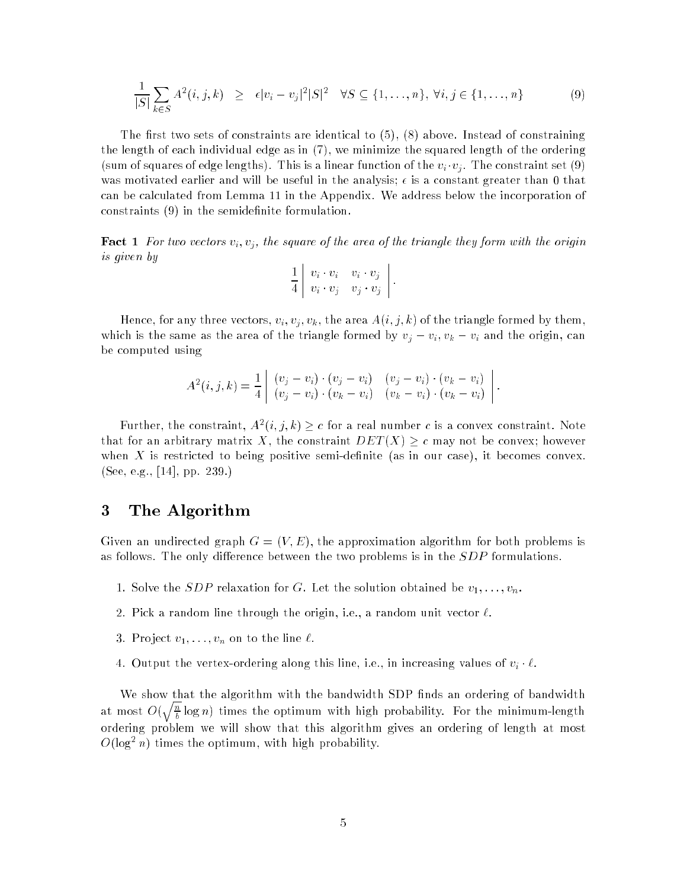$$
\frac{1}{|S|} \sum_{k \in S} A^2(i,j,k) \ge \epsilon |v_i - v_j|^2 |S|^2 \quad \forall S \subseteq \{1, \dots, n\}, \ \forall i, j \in \{1, \dots, n\}
$$
 (9)

The first two sets of constraints are identical to  $(5)$ ,  $(8)$  above. Instead of constraining the length of each individual edge as in (7), we minimize the squared length of the ordering (sum of squares of edge lengths). This is a linear function of the  $v_i \cdot v_j$ . The constraint set (9) was motivated earlier and will be useful in the analysis;  $\epsilon$  is a constant greater than 0 that can be calculated from Lemma 11 in the Appendix. We address below the incorporation of constraints (9) in the semidefinite formulation.

**Fact 1** For two vectors  $v_i$ ,  $v_j$ , the square of the area of the triangle they form with the origin is given by

$$
\frac{1}{4} \left| \begin{array}{cc} v_i \cdot v_i & v_i \cdot v_j \\ v_i \cdot v_j & v_j \cdot v_j \end{array} \right|.
$$

Hence, for any three vectors,  $v_i, v_j, v_k$ , the area  $A(i, j, k)$  of the triangle formed by them, which is the same as the area of the triangle formed by  $v_j - v_i$ ,  $v_k - v_i$  and the origin, can be computed using

$$
A^{2}(i, j, k) = \frac{1}{4} \begin{bmatrix} (v_{j} - v_{i}) \cdot (v_{j} - v_{i}) & (v_{j} - v_{i}) \cdot (v_{k} - v_{i}) \\ (v_{j} - v_{i}) \cdot (v_{k} - v_{i}) & (v_{k} - v_{i}) \cdot (v_{k} - v_{i}) \end{bmatrix}.
$$

Further, the constraint,  $A^2(i,j,k) \geq c$  for a real number c is a convex constraint. Note that for an arbitrary matrix X, the constraint  $DET(X) \geq c$  may not be convex; however when X is restricted to being positive semi-definite (as in our case), it becomes convex. (See, e.g., [14], pp. 239.)

## 3 The Algorithm

Given an undirected graph  $G = (V, E)$ , the approximation algorithm for both problems is as follows. The only difference between the two problems is in the  $SDP$  formulations.

- 1. Solve the *SDP* relaxation for G. Let the solution obtained be  $v_1, \ldots, v_n$ .
- 2. Pick a random line through the origin, i.e., a random unit vector  $\ell$ .
- 3. Project  $v_1, \ldots, v_n$  on to the line  $\ell$ .
- 4. Output the vertex-ordering along this line, i.e., in increasing values of  $v_i \cdot \ell$ .

We show that the algorithm with the bandwidth SDP finds an ordering of bandwidth at most  $O(\sqrt{\frac{n}{l}})$  $\frac{1}{b}$  log  $n$  ) times the optimum with high probability. For the minimum-length ordering problem we will show that this algorithm gives an ordering of length at most  $O(\log^2 n)$  times the optimum, with high probability.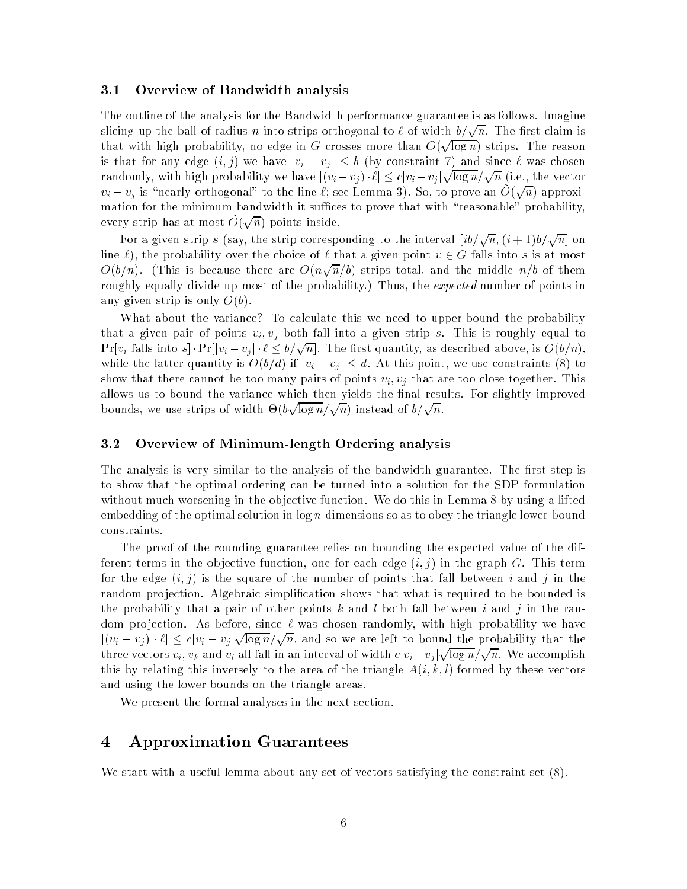#### 3.1Overview of Bandwidth analysis

The outline of the analysis for the Bandwidth performance guarantee is as follows. Imagine slicing up the ball of radius  $n$  into strips orthogonal to  $\ell$  of width  $b/\sqrt{n}$ . The first claim is that with high probability, no edge in G crosses more than  $O(\sqrt{\log n})$  strips. The reason is that for any edge  $(i, j)$  we have  $|v_i - v_j| \leq b$  (by constraint 7) and since  $\ell$  was chosen randomly, with high probability we have  $|(v_i - v_j) \cdot \ell| \leq c |v_i - v_j| \sqrt{\log n} / \sqrt{n}$  (i.e., the vector  $v_i - v_j$  is "nearly orthogonal" to the line  $\ell$ ; see Lemma 3). So, to prove an O(  $\sqrt{n}$  approximation for the minimum bandwidth it suffices to prove that with "reasonable" probability, every strip has at most  $O($  $\sqrt{n}$  points inside.

For a given strip s (say, the strip corresponding to the interval  $[ib/\sqrt{n}, (i+1)b/\sqrt{n}]$  on line  $\ell$ ), the probability over the choice of  $\ell$  that a given point  $v \in G$  falls into s is at most  $O(b/n)$ . (This is because there are  $O(n\sqrt{n}/b)$  strips total, and the middle  $n/b$  of them roughly equally divide up most of the probability.) Thus, the *expected* number of points in any given strip is only  $O(b)$ .

What about the variance? To calculate this we need to upper-bound the probability that a given pair of points  $v_i, v_j$  both fall into a given strip s. This is roughly equal to  $Pr[v_i \text{ falls into } s] \cdot Pr[|v_i - v_j| \cdot \ell \le b/\sqrt{n}].$  The first quantity, as described above, is  $O(b/n),$ while the latter quantity is  $O(b/d)$  if  $|v_i - v_j| \leq d$ . At this point, we use constraints (8) to show that there cannot be too many pairs of points  $v_i, v_j$  that are too close together. This allows us to bound the variance which then yields the final results. For slightly improved bounds, we use strips of width  $\Theta(b\sqrt{\log n}/\sqrt{n})$  instead of  $b/\sqrt{n}$ .

#### 3.2Overview of Minimum-length Ordering analysis

The analysis is very similar to the analysis of the bandwidth guarantee. The first step is to show that the optimal ordering can be turned into a solution for the SDP formulation without much worsening in the objective function. We do this in Lemma 8 by using a lifted embedding of the optimal solution in  $\log n$ -dimensions so as to obey the triangle lower-bound constraints.

The proof of the rounding guarantee relies on bounding the expected value of the different terms in the objective function, one for each edge  $(i, j)$  in the graph G. This term for the edge  $(i, j)$  is the square of the number of points that fall between i and j in the random projection. Algebraic simplification shows that what is required to be bounded is the probability that a pair of other points k and l both fall between i and j in the random projection. As before, since  $\ell$  was chosen randomly, with high probability we have  $|(v_i - v_j) \cdot \ell| \leq c |v_i - v_j| \sqrt{\log n} / \sqrt{n}$ , and so we are left to bound the probability that the three vectors  $v_i, v_k$  and  $v_l$  all fall in an interval of width  $c|v_i-v_j|\sqrt{\log n}/\sqrt{n}$ . We accomplish this by relating this inversely to the area of the triangle  $A(i, k, l)$  formed by these vectors and using the lower bounds on the triangle areas.

We present the formal analyses in the next section.

## 4 Approximation Guarantees

We start with a useful lemma about any set of vectors satisfying the constraint set (8).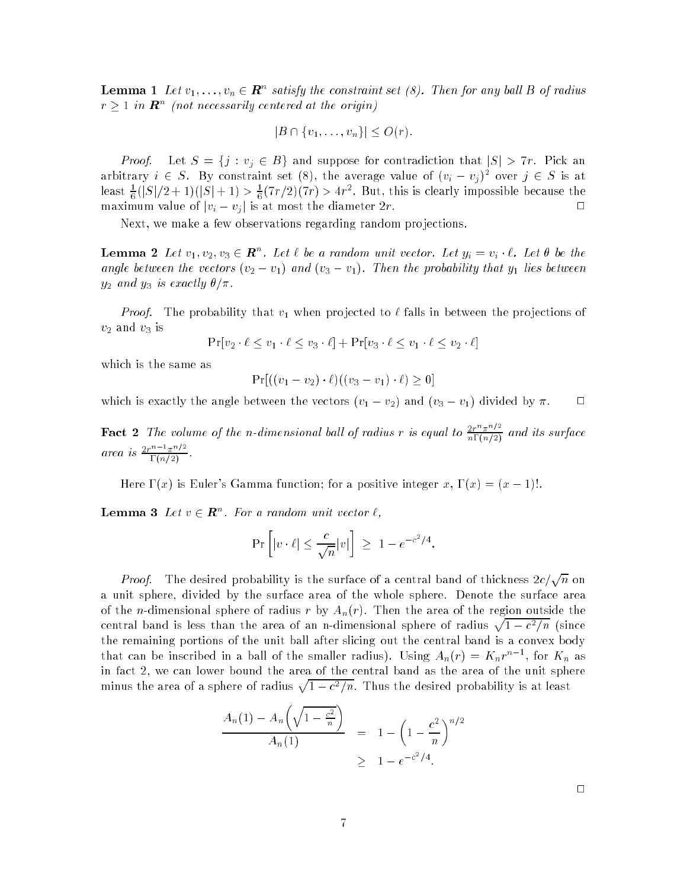**Lemma 1** Let  $v_1,\ldots,v_n\in \boldsymbol{R}^n$  satisfy the constraint set (8). Then for any ball B of radius  $r > 1$  in  $\boldsymbol{R}^n$  (not necessarily centered at the origin)

$$
|B \cap \{v_1,\ldots,v_n\}| \leq O(r).
$$

*Proof.* Let  $S = \{j : v_j \in B\}$  and suppose for contradiction that  $|S| > 7r$ . Pick an arbitrary  $i \in S$ . By constraint set (8), the average value of  $(v_i - v_j)^2$  over  $j \in S$  is at least  $\frac{1}{6}(|S|/2+1)(|S|+1) > \frac{1}{6}(7r/2)(7r) > 4r^2$ . But, this is clearly impossible because the maximum value of  $|v_i - v_j|$  is at most the diameter  $2r$ .

Next, we make a few observations regarding random pro jections.

**Lemma 2** Let  $v_1, v_2, v_3 \in \mathbb{R}^n$ . Let  $\ell$  be a random unit vector. Let  $y_i = v_i \cdot \ell$ . Let  $\theta$  be the angle between the vectors  $(v_2 - v_1)$  and  $(v_3 - v_1)$ . Then the probability that  $y_1$  lies between  $y_2$  and  $y_3$  is exactly  $\theta/\pi$ .

*Proof.* The probability that  $v_1$  when projected to  $\ell$  falls in between the projections of  $v_2$  and  $v_3$  is

$$
\Pr[v_2 \cdot \ell \le v_1 \cdot \ell \le v_3 \cdot \ell] + \Pr[v_3 \cdot \ell \le v_1 \cdot \ell \le v_2 \cdot \ell]
$$

which is the same as

$$
Pr[((v_1 - v_2) \cdot \ell)((v_3 - v_1) \cdot \ell) \ge 0]
$$

which is exactly the angle between the vectors  $(v_1 - v_2)$  and  $(v_3 - v_1)$  divided by  $\pi$ .  $\quad \sqcup$ 

**Fact 2** The volume of the n-dimensional ball of radius r is equal to  $\frac{2r^2m}{n\Gamma(n/2)}$  and its surface area is  $\frac{2r^n - \pi^{n}}{\Gamma(n/2)}$ .

Here  $\Gamma(x)$  is Euler's Gamma function; for a positive integer x,  $\Gamma(x) = (x - 1)!$ .

**Lemma 3** Let  $v \in \mathbb{R}^n$ . For a random unit vector  $\ell$ .

$$
\Pr\left[|v \cdot \ell| \le \frac{c}{\sqrt{n}}|v|\right] \ge 1 - e^{-c^2/4}.
$$

*Proof.* The desired probability is the surface of a central band of thickness  $2c/\sqrt{n}$  on a unit sphere, divided by the surface area of the whole sphere. Denote the surface area of the *n*-dimensional sphere of radius r by  $A_n(r)$ . Then the area of the region outside the central band is less than the area of an n-dimensional sphere of radius  $\sqrt{1-c^2/n}$  (since the remaining portions of the unit ball after slicing out the central band is a convex body that can be inscribed in a ball of the smaller radius). Using  $A_n(r) = K_n r^{n-1}$ , for  $K_n$  as in fact 2, we can lower bound the area of the central band as the area of the unit sphere minus the area of a sphere of radius  $\sqrt{1-c^2/n}$ . Thus the desired probability is at least

$$
\frac{A_n(1) - A_n\left(\sqrt{1 - \frac{c^2}{n}}\right)}{A_n(1)} = 1 - \left(1 - \frac{c^2}{n}\right)^{n/2} \ge 1 - e^{-c^2/4}.
$$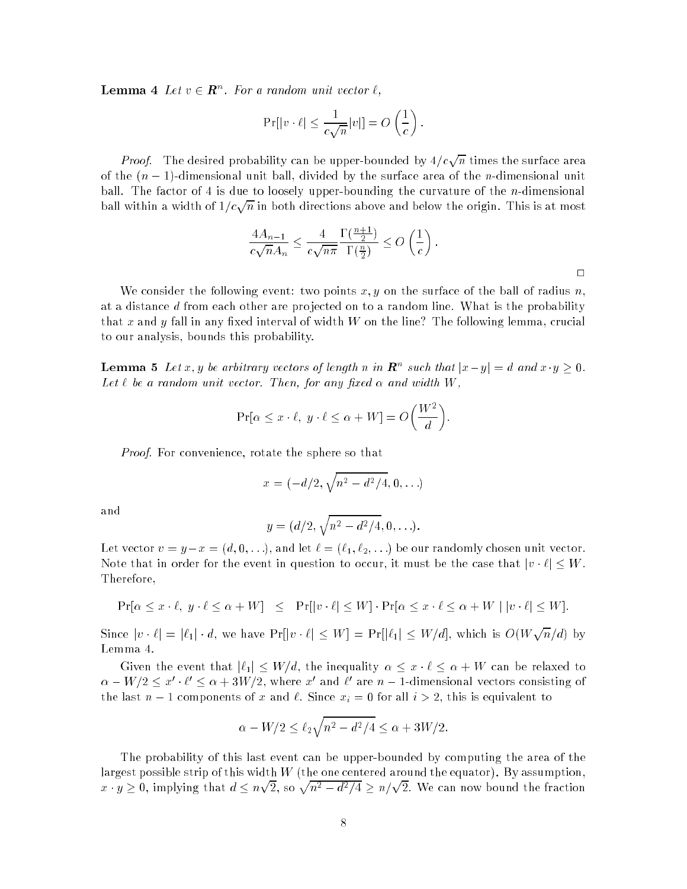**Lemma** 4 Let  $v \in \mathbb{R}^n$ . For a random unit vector  $\ell$ .

$$
\Pr[|v \cdot \ell| \leq \frac{1}{c\sqrt{n}}|v|] = O\left(\frac{1}{c}\right).
$$

*Proof.* The desired probability can be upper-bounded by  $4/c\sqrt{n}$  times the surface area of the  $(n - 1)$ -dimensional unit ball, divided by the surface area of the *n*-dimensional unit ball. The factor of 4 is due to loosely upper-bounding the curvature of the *n*-dimensional ball within a width of  $1/c\sqrt{n}$  in both directions above and below the origin. This is at most

$$
\frac{4A_{n-1}}{c\sqrt{n}A_n} \le \frac{4}{c\sqrt{n\pi}} \frac{\Gamma(\frac{n+1}{2})}{\Gamma(\frac{n}{2})} \le O\left(\frac{1}{c}\right).
$$

We consider the following event: two points  $x, y$  on the surface of the ball of radius  $n$ , at a distance d from each other are projected on to a random line. What is the probability that x and y fall in any fixed interval of width  $W$  on the line? The following lemma, crucial to our analysis, bounds this probability.

**Lemma 5** Let x, y be arbitrary vectors of length n in  $\mathbb{R}^n$  such that  $|x-y| = d$  and  $x \cdot y \ge 0$ . Let  $\ell$  be a random unit vector. Then, for any fixed  $\alpha$  and width W,

$$
\Pr[\alpha \le x \cdot \ell, \ y \cdot \ell \le \alpha + W] = O\left(\frac{W^2}{d}\right).
$$

Proof. For convenience, rotate the sphere so that

$$
x = (-d/2, \sqrt{n^2 - d^2/4}, 0, \ldots)
$$

and

$$
y = (d/2, \sqrt{n^2 - d^2/4}, 0, \ldots).
$$

Let vector  $v = y - x = (d, 0, \ldots)$ , and let  $\ell = (\ell_1, \ell_2, \ldots)$  be our randomly chosen unit vector. Note that in order for the event in question to occur, it must be the case that  $|v \cdot \ell| \leq W$ . Therefore,

$$
\Pr[\alpha \le x \cdot \ell, y \cdot \ell \le \alpha + W] \le \Pr[|v \cdot \ell| \le W] \cdot \Pr[\alpha \le x \cdot \ell \le \alpha + W \mid |v \cdot \ell| \le W].
$$

Since  $|v \cdot \ell| = |\ell_1| \cdot d$ , we have  $Pr[|v \cdot \ell| \leq W] = Pr[|\ell_1| \leq W/d]$ , which is  $O(W\sqrt{n}/d)$  by Lemma 4.

Given the event that  $|\ell_1| \leq W/d$ , the inequality  $\alpha \leq x \cdot \ell \leq \alpha + W$  can be relaxed to  $\alpha-W/2\le x'\cdot\ell'\le\alpha+3W/2,$  where  $x'$  and  $\ell'$  are  $n-1\text{-dimensional vectors consisting of }$ the last  $n - 1$  components of x and  $\ell$ . Since  $x_i = 0$  for all  $i > 2$ , this is equivalent to

$$
\alpha - W/2 \le \ell_2 \sqrt{n^2 - d^2/4} \le \alpha + 3W/2.
$$

The probability of this last event can be upper-bounded by computing the area of the largest possible strip of this width  $W$  (the one centered around the equator). By assumption,  $x\cdot y\geq 0,$  implying that  $d\leq n\sqrt{2},$  so  $\sqrt{n^2-d^2/4}\geq n/\sqrt{2}.$  We can now bound the fraction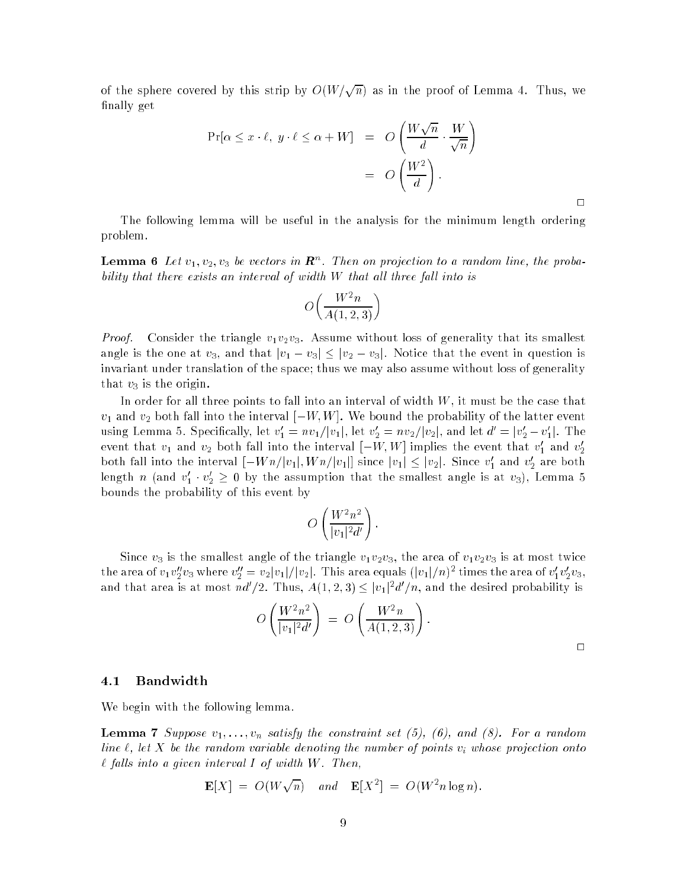of the sphere covered by this strip by  $O(W/\sqrt{n})$  as in the proof of Lemma 4. Thus, we finally get

$$
\Pr[\alpha \le x \cdot \ell, y \cdot \ell \le \alpha + W] = O\left(\frac{W\sqrt{n}}{d} \cdot \frac{W}{\sqrt{n}}\right)
$$

$$
= O\left(\frac{W^2}{d}\right).
$$

The following lemma will be useful in the analysis for the minimum length ordering problem.

 $\Box$ 

**Lemma 6** Let  $v_1, v_2, v_3$  be vectors in  $\mathbf{R}^n$ . Then on projection to a random line, the probability that there exists an interval of width  $W$  that all three fall into is

$$
O\left(\frac{W^2n}{A(1,2,3)}\right)
$$

*Proof.* Consider the triangle  $v_1v_2v_3$ . Assume without loss of generality that its smallest angle is the one at  $v_3,$  and that  $|v_1 - v_3| \leq |v_2 - v_3|$ . Notice that the event in question is invariant under translation of the space; thus we may also assume without loss of generality that  $v_3$  is the origin.

In order for all three points to fall into an interval of width  $W,$  it must be the case that  $v_1$  and  $v_2$  both fall into the interval  $[-W, W]$ . We bound the probability of the latter event using Lemma 5. Specifically, let  $v_1' = nv_1/|v_1|$ , let  $v_2' = nv_2/|v_2|$ , and let  $d' = |v_2' - v_1'|$ . The event that  $v_1$  and  $v_2$  both fall into the interval  $\left\lfloor -W,W\right\rfloor$  implies the event that  $v_1'$  and  $v_2'$ both fall into the interval  $[-Wn/|v_1|, Wn/|v_1|]$  since  $|v_1| \leq |v_2|$ . Since  $v'_1$  and  $v'_2$  are both length  $n$  (and  $v_1 \cdot v_2 \geq 0$  by the assumption that the smallest angle is at  $v_3$ ), Lemma 5 bounds the probability of this event by

$$
O\left(\frac{W^2n^2}{|v_1|^2d'}\right).
$$

Since  $v_3$  is the smallest angle of the triangle  $v_1v_2v_3,$  the area of  $v_1v_2v_3$  is at most twice the area of  $v_1v_2''v_3$  where  $v_2''=v_2|v_1|/|v_2|$  . This area equals  $(|v_1|/n)^2$  times the area of  $v_1'v_2'v_3,$ and that area is at most  $nd'/2$ . Thus,  $A(1,2,3) \leq |v_1|^2 d'/n,$  and the desired probability is

$$
O\left(\frac{W^2n^2}{|v_1|^2d'}\right) = O\left(\frac{W^2n}{A(1,2,3)}\right).
$$

#### 4.1Bandwidth

We begin with the following lemma.

**Lemma 7** Suppose  $v_1, \ldots, v_n$  satisfy the constraint set (5), (6), and (8). For a random line  $\ell$ , let X be the random variable denoting the number of points v<sub>i</sub> whose projection onto  $\ell$  falls into a given interval I of width W. Then,

$$
\mathbf{E}[X] = O(W\sqrt{n}) \quad and \quad \mathbf{E}[X^2] = O(W^2 n \log n).
$$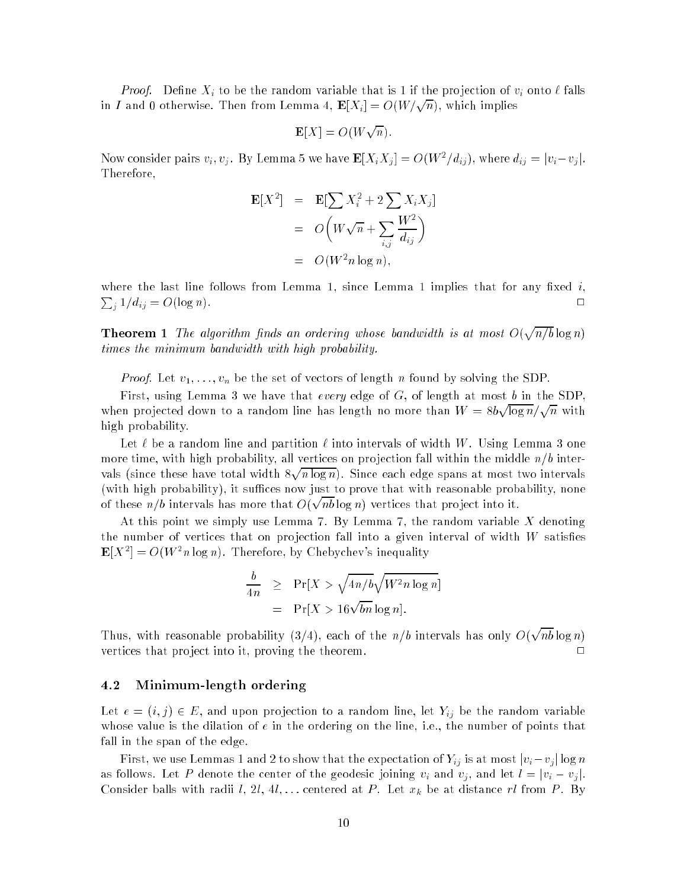*Proof.* Define  $X_i$  to be the random variable that is 1 if the projection of  $v_i$  onto  $\ell$  falls in I and 0 otherwise. Then from Lemma 4,  $\mathbf{E}[X_i] = O(W/\sqrt{n})$ , which implies

$$
\mathbf{E}[X] = O(W\sqrt{n}).
$$

Now consider pairs  $v_i, v_j$ . By Lemma 5 we have  $\mathbf{E}[X_i X_j] = O(W^2/d_{ij})$ , where  $d_{ij} = |v_i - v_j|$ . Therefore,

$$
\mathbf{E}[X^2] = \mathbf{E}[\sum X_i^2 + 2\sum X_i X_j]
$$
  
=  $O\left(W\sqrt{n} + \sum_{i,j} \frac{W^2}{d_{ij}}\right)$   
=  $O(W^2 n \log n),$ 

where the last line follows from Lemma 1, since Lemma 1 implies that for any fixed i,  $\sum_{i} 1/d_{ij} = O(\log n).$ 

**Theorem 1** The algorithm finds an ordering whose bandwidth is at most  $O(\sqrt{n/b}\log n)$ times the minimum bandwidth with high probability.

*Proof.* Let  $v_1, \ldots, v_n$  be the set of vectors of length n found by solving the SDP.

First, using Lemma 3 we have that *every* edge of  $G$ , of length at most b in the SDP, when projected down to a random line has length no more than  $W = 8b\sqrt{\log n}/\sqrt{n}$  with high probability.

Let  $\ell$  be a random line and partition  $\ell$  into intervals of width W. Using Lemma 3 one more time, with high probability, all vertices on projection fall within the middle  $n/b$  intervals (since the since these total width 8  $\sqrt{n \log n}$ . Since each edge spans at most two intervals (with high probability), it suffices now just to prove that with reasonable probability, none of these  $n/b$  intervals has more that  $O(\sqrt{nb}\log n)$  vertices that project into it. p

At this point we simply use Lemma 7. By Lemma 7, the random variable  $X$  denoting the number of vertices that on projection fall into a given interval of width  $W$  satisfies  $\mathbf{E}[X^2] = O(W^2n \log n)$ . Therefore, by Chebychev's inequality

$$
\frac{b}{4n} \ge \Pr[X > \sqrt{4n/b}\sqrt{W^2 n \log n}]
$$
  
=  $\Pr[X > 16\sqrt{bn} \log n].$ 

Thus, with reasonable probability (3/4), each of the  $n/b$  intervals has only  $O(\sqrt{nb} \log n)$ vertices that project into it, proving the theorem.  $\Box$ 

#### 4.2Minimum-length ordering

Let  $e = (i, j) \in E$ , and upon projection to a random line, let  $Y_{ij}$  be the random variable whose value is the dilation of  $e$  in the ordering on the line, i.e., the number of points that fall in the span of the edge.

First, we use Lemmas 1 and 2 to show that the expectation of  $Y_{ij}$  is at most  $|v_i-v_j| \log n$ as follows. Let P denote the center of the geodesic joining  $v_i$  and  $v_j$ , and let  $l = |v_i - v_j|$ . Consider balls with radii l, 2l, 4l,... centered at P. Let  $x_k$  be at distance rl from P. By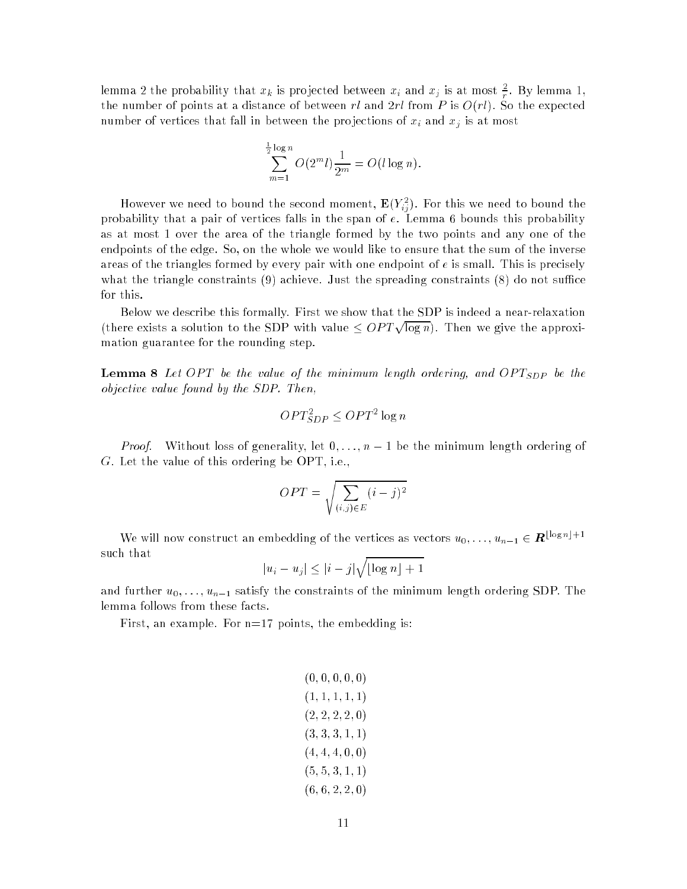lemma 2 the probability that  $x_k$  is projected between  $x_i$  and  $x_j$  is at most  $\pm$ . By lemma 1, <sup>r</sup> the number of points at a distance of between rl and  $2rl$  from P is  $O(rl)$ . So the expected number of vertices that fall in between the projections of  $x_i$  and  $x_j$  is at most

$$
\sum_{m=1}^{\frac{1}{2}\log n} O(2^m l) \frac{1}{2^m} = O(l \log n).
$$

However we need to bound the second moment,  $\mathbf{E}(Y^2_{ij})$ . For this we need to bound the probability that a pair of vertices falls in the span of  $e$ . Lemma 6 bounds this probability as at most 1 over the area of the triangle formed by the two points and any one of the endpoints of the edge. So, on the whole we would like to ensure that the sum of the inverse areas of the triangles formed by every pair with one endpoint of  $e$  is small. This is precisely what the triangle constraints  $(9)$  achieve. Just the spreading constraints  $(8)$  do not suffice for this.

Below we describe this formally. First we show that the SDP is indeed a near-relaxation (there exists a solution to the SDP with value  $\langle OPT\sqrt{\log n} \rangle$ . Then we give the approximation guarantee for the rounding step.

**Lemma 8** Let OPT be the value of the minimum length ordering, and OPT<sub>SDP</sub> be the objective value found by the SDP. Then,

$$
OPT_{SDP}^2 \leq OPT^2 \log n
$$

*Proof.* Without loss of generality, let  $0, \ldots, n-1$  be the minimum length ordering of G. Let the value of this ordering be OPT, i.e.,

$$
OPT = \sqrt{\sum_{(i,j)\in E} (i-j)^2}
$$

We will now construct an embedding of the vertices as vectors  $u_0, \ldots, u_{n-1} \in \mathbb{R}^{\lfloor \log n \rfloor + 1}$ such that  $\sim$ 

$$
|u_i - u_j| \le |i - j| \sqrt{\lfloor \log n \rfloor + 1}
$$

and further  $u_0, \ldots, u_{n-1}$  satisfy the constraints of the minimum length ordering SDP. The lemma follows from these facts.

First, an example. For  $n=17$  points, the embedding is:

$$
\begin{gathered}(0,0,0,0,0)\\(1,1,1,1,1)\\(2,2,2,2,0)\\(3,3,3,1,1)\\(4,4,4,0,0)\\(5,5,3,1,1)\\(6,6,2,2,0)\end{gathered}
$$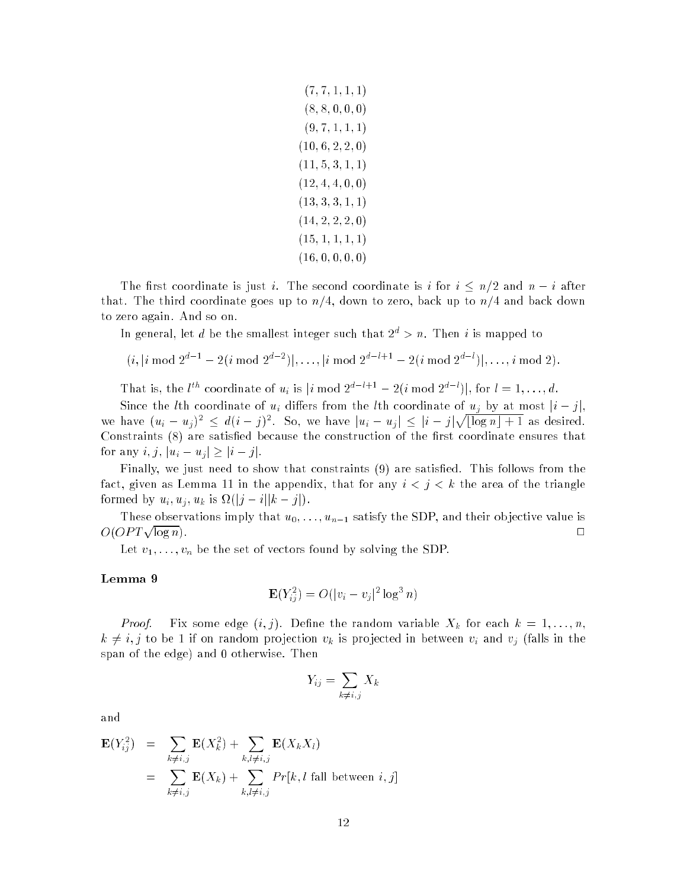$$
\begin{gathered}(7,7,1,1,1)\\(8,8,0,0,0)\\(9,7,1,1,1)\\(10,6,2,2,0)\\(11,5,3,1,1)\\(12,4,4,0,0)\\(13,3,3,1,1)\\(14,2,2,2,0)\\(15,1,1,1,1)\\(16,0,0,0,0)\end{gathered}
$$

The first coordinate is just i. The second coordinate is i for  $i \leq n/2$  and  $n-i$  after that. The third coordinate goes up to  $n/4$ , down to zero, back up to  $n/4$  and back down to zero again. And so on.

In general, let d be the smallest integer such that  $2^d > n$ . Then i is mapped to

$$
(i, |i \bmod 2^{d-1} - 2(i \bmod 2^{d-2})|, \ldots, |i \bmod 2^{d-l+1} - 2(i \bmod 2^{d-l})|, \ldots, i \bmod 2).
$$

That is, the  $l^{th}$  coordinate of  $u_i$  is  $|i \bmod 2^{a-i+1} - 2(i \bmod 2^{a-i})|$ , for  $l = 1, \ldots, d$ .

Since the *l*th coordinate of  $u_i$  differs from the *l*th coordinate of  $u_j$  by at most  $|i - j|$ . we have  $(u_i - u_j)^2 \leq d(i - j)^2$ . So, we have  $|u_i - u_j| \leq |i - j| \sqrt{\log n + 1}$  as desired. Constraints (8) are satisfied because the construction of the first coordinate ensures that for any  $i, j, |u_i - u_j| \geq |i - j|$ .

Finally, we just need to show that constraints (9) are satisfied. This follows from the fact, given as Lemma 11 in the appendix, that for any  $i < j < k$  the area of the triangle formed by  $u_i, u_j, u_k$  is  $\Omega(|j - i||k - j|)$ .

These observations imply that  $u_0, \ldots, u_{n-1}$  satisfy the SDP, and their objective value is  $O(OPT\sqrt{\log n})$ .  $\log n$ ).

Let  $v_1, \ldots, v_n$  be the set of vectors found by solving the SDP.

### Lemma <sup>9</sup>

$$
\mathbf{E}(Y_{ij}^2) = O(|v_i - v_j|^2 \log^3 n)
$$

*Proof.* Fix some edge  $(i, j)$ . Define the random variable  $X_k$  for each  $k = 1, \ldots, n$ ,  $k \neq i, j$  to be 1 if on random projection  $v_k$  is projected in between  $v_i$  and  $v_j$  (falls in the span of the edge) and 0 otherwise. Then

$$
Y_{ij} = \sum_{k \neq i,j} X_k
$$

and

$$
\mathbf{E}(Y_{ij}^2) = \sum_{k \neq i,j} \mathbf{E}(X_k^2) + \sum_{k,l \neq i,j} \mathbf{E}(X_k X_l)
$$
  
= 
$$
\sum_{k \neq i,j} \mathbf{E}(X_k) + \sum_{k,l \neq i,j} Pr[k, l \text{ fall between } i, j]
$$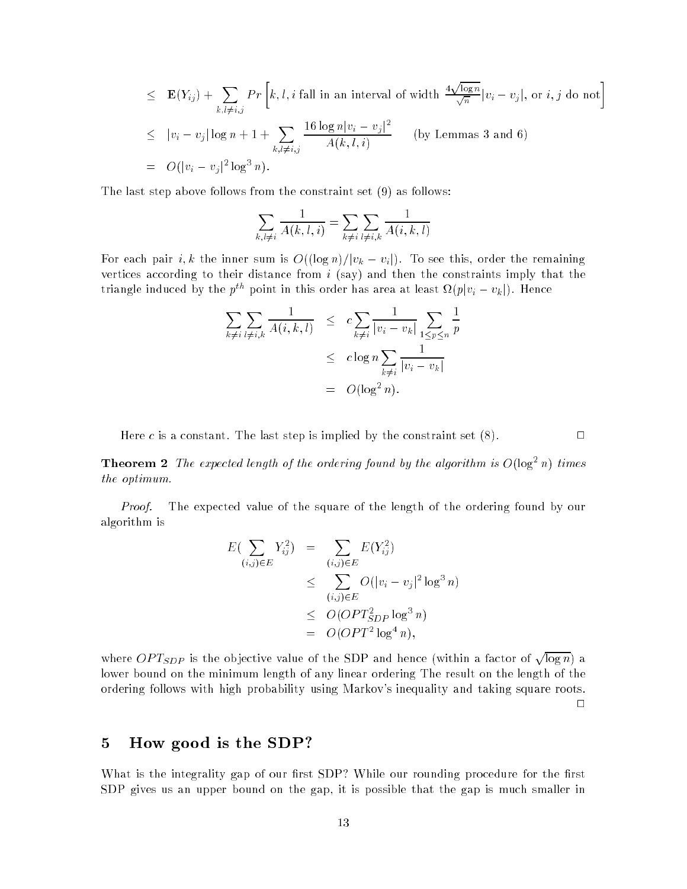$$
\leq \mathbf{E}(Y_{ij}) + \sum_{k,l \neq i,j} Pr\left[k, l, i \text{ fall in an interval of width } \frac{4\sqrt{\log n}}{\sqrt{n}} |v_i - v_j|, \text{ or } i, j \text{ do not}\right]
$$
  

$$
\leq |v_i - v_j| \log n + 1 + \sum_{k,l \neq i,j} \frac{16 \log n |v_i - v_j|^2}{A(k, l, i)} \quad \text{(by Lemmas 3 and 6)}
$$
  

$$
= O(|v_i - v_j|^2 \log^3 n).
$$

The last step above follows from the constraint set (9) as follows:

$$
\sum_{k,l\neq i}\frac{1}{A(k,l,i)}=\sum_{k\neq i}\sum_{l\neq i,k}\frac{1}{A(i,k,l)}
$$

For each pair i, k the inner sum is  $O((\log n)/|v_k - v_i|)$ . To see this, order the remaining vertices according to their distance from  $i$  (say) and then the constraints imply that the triangle induced by the  $p^{\scriptscriptstyle{ov}}$  point in this order has area at least  $\Omega(p|v_i-v_k|)$ . Hence

$$
\sum_{k \neq i} \sum_{l \neq i,k} \frac{1}{A(i,k,l)} \leq c \sum_{k \neq i} \frac{1}{|v_i - v_k|} \sum_{1 \leq p \leq n} \frac{1}{p}
$$
  

$$
\leq c \log n \sum_{k \neq i} \frac{1}{|v_i - v_k|}
$$
  

$$
= O(\log^2 n).
$$

Here c is a constant. The last step is implied by the constraint set  $(8)$ .

**Theorem 2** The expected length of the ordering found by the algorithm is  $O(\log^2 n)$  times the optimum.

Proof. The expected value of the square of the length of the ordering found by our algorithm is

$$
E(\sum_{(i,j)\in E} Y_{ij}^2) = \sum_{(i,j)\in E} E(Y_{ij}^2)
$$
  
\n
$$
\leq \sum_{(i,j)\in E} O(|v_i - v_j|^2 \log^3 n)
$$
  
\n
$$
\leq O(OPT_{SDP}^2 \log^3 n)
$$
  
\n
$$
= O(OPT^2 \log^4 n),
$$

where  $OPT_{SDP}$  is the objective value of the SDP and hence (within a factor of  $\sqrt{\log n}$ ) a lower bound on the minimum length of any linear ordering The result on the length of the ordering follows with high probability using Markov's inequality and taking square roots.  $\Box$ 

# 5 How good is the SDP?

What is the integrality gap of our first SDP? While our rounding procedure for the first SDP gives us an upper bound on the gap, it is possible that the gap is much smaller in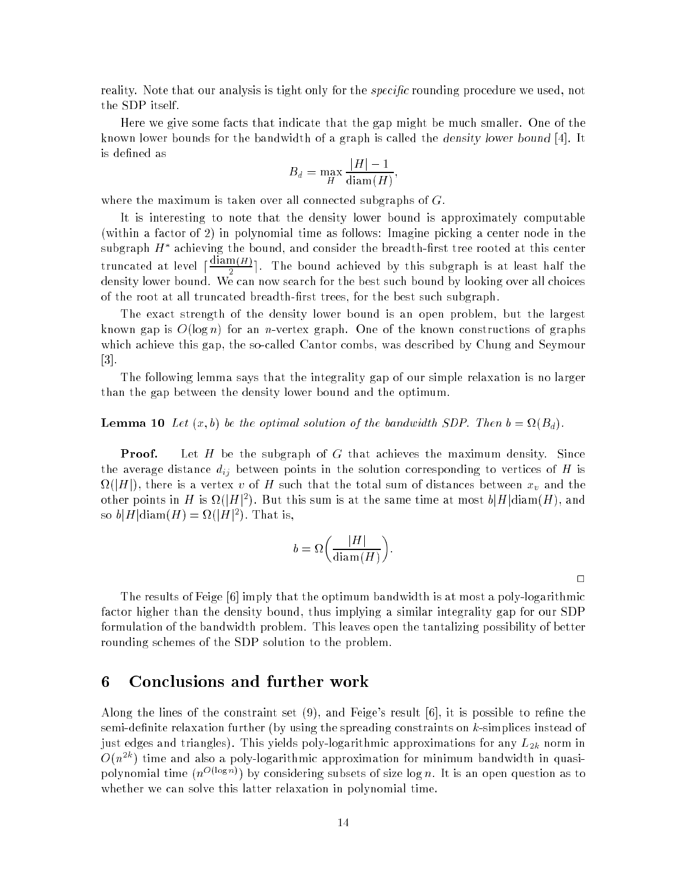reality. Note that our analysis is tight only for the *specific* rounding procedure we used, not the SDP itself.

Here we give some facts that indicate that the gap might be much smaller. One of the known lower bounds for the bandwidth of a graph is called the density lower bound [4]. It is defined as

$$
B_d = \max_{H} \frac{|H| - 1}{\text{diam}(H)},
$$

where the maximum is taken over all connected subgraphs of  $G$ .

It is interesting to note that the density lower bound is approximately computable (within a factor of 2) in polynomial time as follows: Imagine picking a center node in the subgraph  $H^*$  achieving the bound, and consider the breadth-first tree rooted at this center achieving the bound, and consider the breadth-rst tree rooted at the breadth-rst tree rooted at this center. truncated at level  $\frac{1}{\sqrt{2}}$  $2$  e. The bound activities by this subgraph is at least half the  $\sim$ density lower bound. We can now search for the best such bound by looking over all choices of the root at all truncated breadth-first trees, for the best such subgraph.

The exact strength of the density lower bound is an open problem, but the largest known gap is  $O(\log n)$  for an *n*-vertex graph. One of the known constructions of graphs which achieve this gap, the so-called Cantor combs, was described by Chung and Seymour [3].

The following lemma says that the integrality gap of our simple relaxation is no larger than the gap between the density lower bound and the optimum.

## **Lemma 10** Let  $(x, b)$  be the optimal solution of the bandwidth SDP. Then  $b = \Omega(B_d)$ .

**Proof.** Let H be the subgraph of G that achieves the maximum density. Since the average distance  $d_{ij}$  between points in the solution corresponding to vertices of H is  $\Omega(|H|)$ , there is a vertex  $v$  of  $H$  such that the total sum of distances between  $x_{v}$  and the other points in H is  $\Omega(|H|^2)$ . But this sum is at the same time at most  $b|H|\text{diam}(H)$ , and so  $b|H|\text{diam}(H) = \Omega(|H|^2)$ . That is,

$$
b = \Omega\left(\frac{|H|}{\text{diam}(H)}\right).
$$

 $\Box$ 

The results of Feige [6] imply that the optimum bandwidth is at most a poly-logarithmic factor higher than the density bound, thus implying a similar integrality gap for our SDP formulation of the bandwidth problem. This leaves open the tantalizing possibility of better rounding schemes of the SDP solution to the problem.

## 6 Conclusions and further work

Along the lines of the constraint set  $(9)$ , and Feige's result  $[6]$ , it is possible to refine the semi-definite relaxation further (by using the spreading constraints on  $k$ -simplices instead of just edges and triangles). This yields poly-logarithmic approximations for any  $L_{2k}$  norm in  $O(n^{2k})$  time and also a poly-logarithmic approximation for minimum bandwidth in quasipolynomial time  $(n^{O(\log n)})$  by considering subsets of size log n. It is an open question as to whether we can solve this latter relaxation in polynomial time.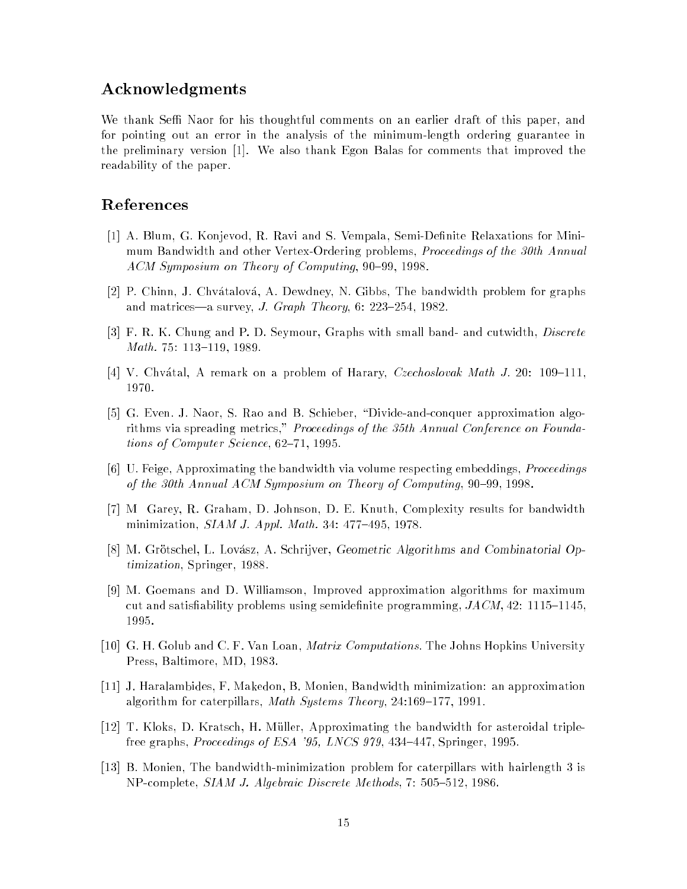## Acknowledgments

We thank Seffi Naor for his thoughtful comments on an earlier draft of this paper, and for pointing out an error in the analysis of the minimum-length ordering guarantee in the preliminary version [1]. We also thank Egon Balas for comments that improved the readability of the paper.

## References

- [1] A. Blum, G. Konjevod, R. Ravi and S. Vempala, Semi-Denite Relaxations for Minimum Bandwidth and other Vertex-Ordering problems, *Proceedings of the 30th Annual*  $ACM$  Symposium on Theory of Computing, 90-99, 1998.
- [2] P. Chinn, J. Chvatalova, A. Dewdney, N. Gibbs, The bandwidth problem for graphs and matrices—a survey, J. Graph Theory, 6: 223-254, 1982.
- [3] F. R. K. Chung and P. D. Seymour, Graphs with small band- and cutwidth, *Discrete* Math. 75: 113-119, 1989.
- [4] V. Chvátal, A remark on a problem of Harary, *Czechoslovak Math J.* 20: 109-111. 1970.
- [5] G. Even. J. Naor, S. Rao and B. Schieber, "Divide-and-conquer approximation algorithms via spreading metrics," Proceedings of the 35th Annual Conference on Foundations of Computer Science,  $62-71$ , 1995.
- [6] U. Feige, Approximating the bandwidth via volume respecting embeddings, Proceedings of the 30th Annual ACM Symposium on Theory of Computing,  $90-99$ , 1998.
- [7] M Garey, R. Graham, D. Johnson, D. E. Knuth, Complexity results for bandwidth minimization,  $SIAM$  J. Appl. Math. 34: 477-495, 1978.
- [8] M. Grötschel, L. Lovász, A. Schrijver, Geometric Algorithms and Combinatorial Optimization, Springer, 1988.
- [9] M. Goemans and D. Williamson, Improved approximation algorithms for maximum cut and satisfiability problems using semidefinite programming,  $JACM$ , 42: 1115–1145, 1995.
- [10] G. H. Golub and C. F. Van Loan, *Matrix Computations*. The Johns Hopkins University Press, Baltimore, MD, 1983.
- [11] J. Haralambides, F. Makedon, B. Monien, Bandwidth minimization: an approximation algorithm for caterpillars, *Math Systems Theory*,  $24:169-177$ , 1991.
- [12] T. Kloks, D. Kratsch, H. Muller, Approximating the bandwidth for asteroidal triplefree graphs, Proceedings of ESA '95, LNCS 979, 434-447, Springer, 1995.
- [13] B. Monien, The bandwidth-minimization problem for caterpillars with hairlength 3 is NP-complete, SIAM J. Algebraic Discrete Methods, 7: 505-512, 1986.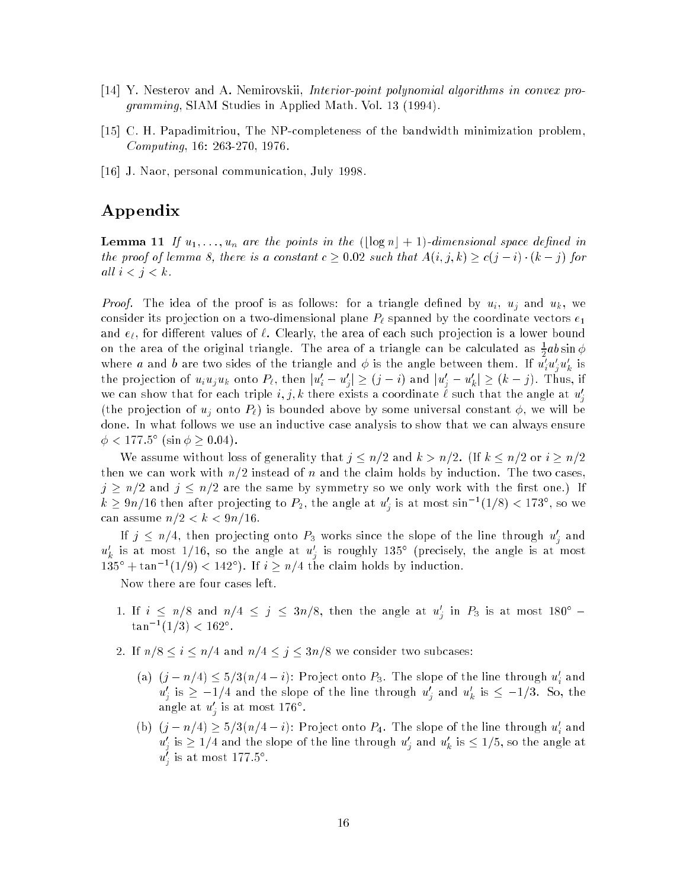- [14] Y. Nesterov and A. Nemirovskii, Interior-point polynomial algorithms in convex programming, SIAM Studies in Applied Math. Vol. 13 (1994).
- [15] C. H. Papadimitriou, The NP-completeness of the bandwidth minimization problem, Computing, 16: 263-270, 1976.
- [16] J. Naor, personal communication, July 1998.

# Appendix

**Lemma 11** If  $u_1, \ldots, u_n$  are the points in the  $(\lfloor \log n \rfloor + 1)$ -dimensional space defined in the proof of lemma 8, there is a constant  $c \geq 0.02$  such that  $A(i, j, k) \geq c(j - i) \cdot (k - j)$  for all  $i < j < k$ .

*Proof.* The idea of the proof is as follows: for a triangle defined by  $u_i$ ,  $u_j$  and  $u_k$ , we consider its projection on a two-dimensional plane  $P_\ell$  spanned by the coordinate vectors  $e_1$ and  $e_\ell$ , for different values of  $\ell$ . Clearly, the area of each such projection is a lower bound on the area of the original triangle. The area of a triangle can be calculated as  $\frac{1}{2}ab\sin\phi$ where a and b are two sides of the triangle and  $\phi$  is the angle between them. If  $u_i'u_i'u_k'$  is the projection of  $u_i u_j u_k$  onto  $P_\ell$ , then  $|u'_i - u'_j| \ge (j - i)$  and  $|u'_j - u'_k| \ge (k - j)$ . Thus, if we can show that for each triple  $i, j, k$  there exists a coordinate  $\ell$  such that the angle at  $u'_i$ <sup>j</sup> (the projection of  $u_j$  onto  $P_\ell$ ) is bounded above by some universal constant  $\phi$ , we will be done. In what follows we use an inductive case analysis to show that we can always ensure  $\phi < 177.5^{\circ} \; (\sin \phi \geq 0.04)$ .

We assume without loss of generality that  $j \leq n/2$  and  $k > n/2$ . (If  $k \leq n/2$  or  $i \geq n/2$ then we can work with  $n/2$  instead of n and the claim holds by induction. The two cases,  $j \ge n/2$  and  $j \le n/2$  are the same by symmetry so we only work with the first one.) If  $k\geq 9n/16$  then after projecting to  $P_2,$  the angle at  $u_j'$  is at most sin $^{-1}(1/8) < 173^\circ,$  so we can assume  $n/2 < k < 9n/16$ .

If  $j~\leq~n/4,$  then projecting onto  $P_3$  works since the slope of the line through  $u^\prime_i$  and  $u'_k$  is at most 1/16, so the angle at  $u'_i$  is roughly 135° (precisely, the angle is at most  $135^\circ + \tan^{-1}(1/9) < 142^\circ$ . If  $i \ge n/4$  the claim holds by induction.

Now there are four cases left.

- 1. If  $i \leq n/8$  and  $n/4 \leq j \leq 3n/8$ , then the angle at  $u'_j$  in  $P_3$  is at most 180°  $\tan^{-1}(1/3) < 162^{\circ}.$
- 2. If  $n/8 \le i \le n/4$  and  $n/4 \le j \le 3n/8$  we consider two subcases:
	- (a)  $(j n/4) \leq 5/3(n/4 i)$ : Project onto  $P_3$ . The slope of the line through  $u'_i$  and  $u'_j$  is  $\geq$  –1/4 and the slope of the line through  $u'_j$  and  $u'_k$  is  $\leq$  –1/3. So, the angle at  $u_j$  is at most 176  $\cdot$  .
	- (b)  $(j n/4) \ge 5/3(n/4 i)$ : Project onto  $P_4$ . The slope of the line through  $u'_i$  and  $u'_j$  is  $\ge 1/4$  and the slope of the line through  $u'_j$  and  $u'_k$  is  $\le 1/5,$  so the angle at  $u_j$  is at most 177.5".